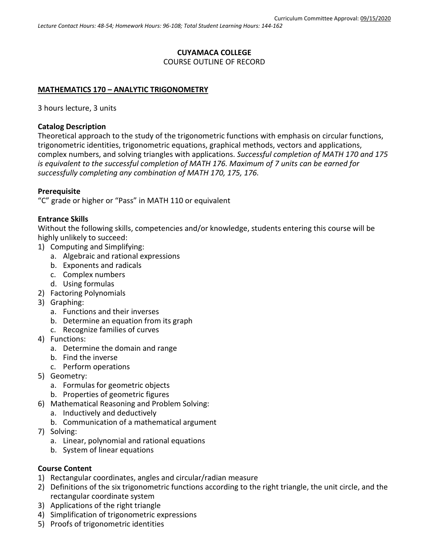### **CUYAMACA COLLEGE** COURSE OUTLINE OF RECORD

### **MATHEMATICS 170 – ANALYTIC TRIGONOMETRY**

3 hours lecture, 3 units

### **Catalog Description**

Theoretical approach to the study of the trigonometric functions with emphasis on circular functions, trigonometric identities, trigonometric equations, graphical methods, vectors and applications, complex numbers, and solving triangles with applications. *Successful completion of MATH 170 and 175 is equivalent to the successful completion of MATH 176. Maximum of 7 units can be earned for successfully completing any combination of MATH 170, 175, 176.*

#### **Prerequisite**

"C" grade or higher or "Pass" in MATH 110 or equivalent

### **Entrance Skills**

Without the following skills, competencies and/or knowledge, students entering this course will be highly unlikely to succeed:

- 1) Computing and Simplifying:
	- a. Algebraic and rational expressions
	- b. Exponents and radicals
	- c. Complex numbers
	- d. Using formulas
- 2) Factoring Polynomials
- 3) Graphing:
	- a. Functions and their inverses
	- b. Determine an equation from its graph
	- c. Recognize families of curves
- 4) Functions:
	- a. Determine the domain and range
	- b. Find the inverse
	- c. Perform operations
- 5) Geometry:
	- a. Formulas for geometric objects
	- b. Properties of geometric figures
- 6) Mathematical Reasoning and Problem Solving:
	- a. Inductively and deductively
		- b. Communication of a mathematical argument
- 7) Solving:
	- a. Linear, polynomial and rational equations
	- b. System of linear equations

### **Course Content**

- 1) Rectangular coordinates, angles and circular/radian measure
- 2) Definitions of the six trigonometric functions according to the right triangle, the unit circle, and the rectangular coordinate system
- 3) Applications of the right triangle
- 4) Simplification of trigonometric expressions
- 5) Proofs of trigonometric identities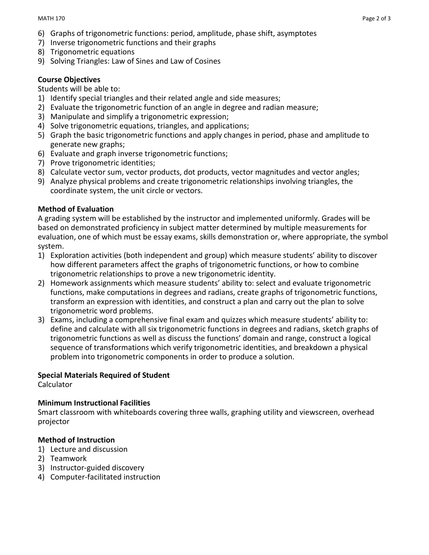- 6) Graphs of trigonometric functions: period, amplitude, phase shift, asymptotes
- 7) Inverse trigonometric functions and their graphs
- 8) Trigonometric equations
- 9) Solving Triangles: Law of Sines and Law of Cosines

# **Course Objectives**

## Students will be able to:

- 1) Identify special triangles and their related angle and side measures;
- 2) Evaluate the trigonometric function of an angle in degree and radian measure;
- 3) Manipulate and simplify a trigonometric expression;
- 4) Solve trigonometric equations, triangles, and applications;
- 5) Graph the basic trigonometric functions and apply changes in period, phase and amplitude to generate new graphs;
- 6) Evaluate and graph inverse trigonometric functions;
- 7) Prove trigonometric identities;
- 8) Calculate vector sum, vector products, dot products, vector magnitudes and vector angles;
- 9) Analyze physical problems and create trigonometric relationships involving triangles, the coordinate system, the unit circle or vectors.

## **Method of Evaluation**

A grading system will be established by the instructor and implemented uniformly. Grades will be based on demonstrated proficiency in subject matter determined by multiple measurements for evaluation, one of which must be essay exams, skills demonstration or, where appropriate, the symbol system.

- 1) Exploration activities (both independent and group) which measure students' ability to discover how different parameters affect the graphs of trigonometric functions, or how to combine trigonometric relationships to prove a new trigonometric identity.
- 2) Homework assignments which measure students' ability to: select and evaluate trigonometric functions, make computations in degrees and radians, create graphs of trigonometric functions, transform an expression with identities, and construct a plan and carry out the plan to solve trigonometric word problems.
- 3) Exams, including a comprehensive final exam and quizzes which measure students' ability to: define and calculate with all six trigonometric functions in degrees and radians, sketch graphs of trigonometric functions as well as discuss the functions' domain and range, construct a logical sequence of transformations which verify trigonometric identities, and breakdown a physical problem into trigonometric components in order to produce a solution.

### **Special Materials Required of Student**

Calculator

### **Minimum Instructional Facilities**

Smart classroom with whiteboards covering three walls, graphing utility and viewscreen, overhead projector

### **Method of Instruction**

- 1) Lecture and discussion
- 2) Teamwork
- 3) Instructor-guided discovery
- 4) Computer-facilitated instruction